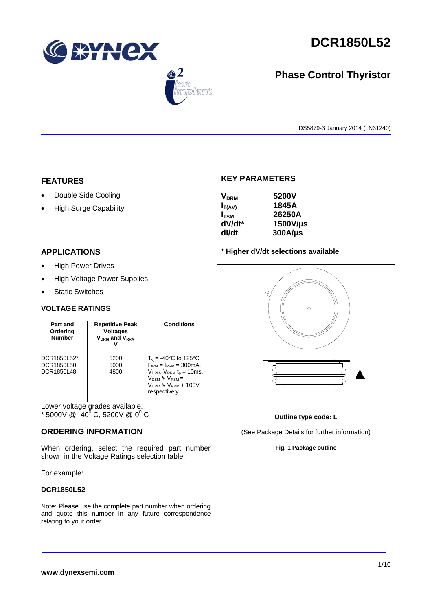

 $\bigcirc$  2

lant

# **DCR1850L52**

# **Phase Control Thyristor**

DS5879-3 January 2014 (LN31240)

## **FEATURES**

- Double Side Cooling
- High Surge Capability

# **KEY PARAMETERS**

| 5200V        |
|--------------|
| 1845A        |
| 26250A       |
| 1500V/us     |
| $300A/\mu s$ |
|              |

# **APPLICATIONS**

- High Power Drives
- High Voltage Power Supplies
- Static Switches

# **VOLTAGE RATINGS**

| Part and<br>Ordering<br><b>Number</b>   | <b>Repetitive Peak</b><br><b>Voltages</b><br>$V_{DRM}$ and $V_{RRM}$ | <b>Conditions</b>                                                                                                                                                                           |
|-----------------------------------------|----------------------------------------------------------------------|---------------------------------------------------------------------------------------------------------------------------------------------------------------------------------------------|
| DCR1850L52*<br>DCR1850L50<br>DCR1850L48 | 5200<br>5000<br>4800                                                 | $T_{\rm vi}$ = -40°C to 125°C,<br>$I_{DRM} = I_{RRM} = 300 \text{mA}$ ,<br>$V_{DRM}$ , $V_{RRM}$ $t_{p}$ = 10ms,<br>$V_{DSM}$ & $V_{RSM}$ =<br>$V_{DRM}$ & $V_{RRM}$ + 100V<br>respectively |

Lower voltage grades available. \* 5000V @  $-40^{0}$  C, 5200V @ 0<sup>0</sup> C

# **ORDERING INFORMATION**

When ordering, select the required part number shown in the Voltage Ratings selection table.

For example:

## **DCR1850L52**

Note: Please use the complete part number when ordering and quote this number in any future correspondence relating to your order.





**Fig. 1 Package outline**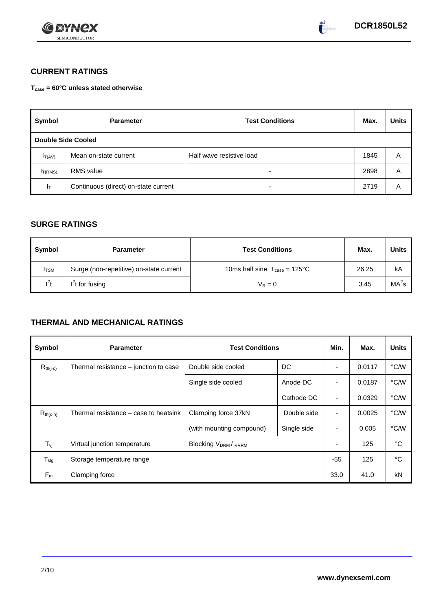



# **CURRENT RATINGS**

**Tcase = 60°C unless stated otherwise**

| Symbol                    | <b>Parameter</b>                                  | <b>Test Conditions</b> |      | <b>Units</b> |
|---------------------------|---------------------------------------------------|------------------------|------|--------------|
| <b>Double Side Cooled</b> |                                                   |                        |      |              |
| $I_{T(AV)}$               | Half wave resistive load<br>Mean on-state current |                        | 1845 | A            |
| I <sub>T(RMS)</sub>       | <b>RMS</b> value                                  | -                      | 2898 | Α            |
| Iт                        | Continuous (direct) on-state current              |                        | 2719 | Α            |

# **SURGE RATINGS**

| Symbol      | <b>Parameter</b>                        | <b>Test Conditions</b>                            | Max.  | Units             |
|-------------|-----------------------------------------|---------------------------------------------------|-------|-------------------|
| <b>ITSM</b> | Surge (non-repetitive) on-state current | 10ms half sine, $T_{\text{case}} = 125^{\circ}$ C | 26.25 | kA                |
| $l^2t$      | $I2t$ for fusing                        | $V_R = 0$                                         | 3.45  | MA <sup>2</sup> s |

# **THERMAL AND MECHANICAL RATINGS**

| Symbol                         | <b>Parameter</b>                      | <b>Test Conditions</b>                      |             | Min.           | Max.   | <b>Units</b> |
|--------------------------------|---------------------------------------|---------------------------------------------|-------------|----------------|--------|--------------|
| $R_{th(j-c)}$                  | Thermal resistance – junction to case | Double side cooled                          | DC          |                | 0.0117 | °C/W         |
|                                |                                       | Single side cooled                          | Anode DC    | ٠              | 0.0187 | °C/W         |
|                                |                                       |                                             | Cathode DC  | $\blacksquare$ | 0.0329 | °C/W         |
| $R_{th(c-h)}$                  | Thermal resistance – case to heatsink | Clamping force 37kN<br>Double side          |             | ٠              | 0.0025 | °C/W         |
|                                |                                       | (with mounting compound)                    | Single side |                | 0.005  | °C/W         |
| $T_{\rm\scriptscriptstyle VI}$ | Virtual junction temperature          | Blocking V <sub>DRM</sub> / <sub>VRRM</sub> |             |                | 125    | °C           |
| $T_{\text{stg}}$               | Storage temperature range             |                                             |             | $-55$          | 125    | °C           |
| $F_m$                          | Clamping force                        |                                             |             | 33.0           | 41.0   | kN           |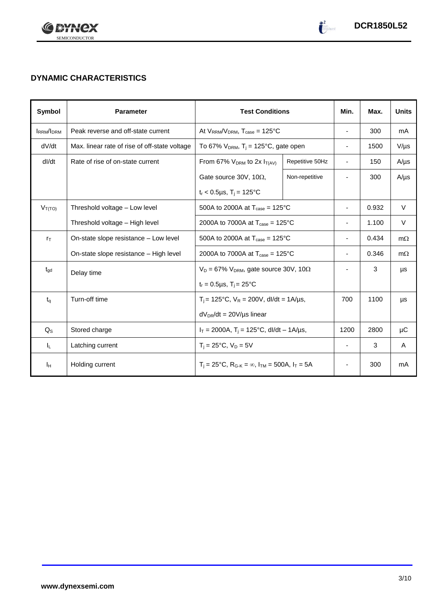

# **DYNAMIC CHARACTERISTICS**

| Symbol           | <b>Parameter</b><br><b>Test Conditions</b>    |                                                                                                 | Min.            | Max.                     | <b>Units</b> |           |
|------------------|-----------------------------------------------|-------------------------------------------------------------------------------------------------|-----------------|--------------------------|--------------|-----------|
| <b>IRRM/IDRM</b> | Peak reverse and off-state current            | At $V_{RRM}/V_{DRM}$ , $T_{case} = 125^{\circ}C$                                                |                 | $\blacksquare$           | 300          | mA        |
| dV/dt            | Max. linear rate of rise of off-state voltage | To 67% $V_{DRM}$ , T <sub>i</sub> = 125°C, gate open                                            |                 | $\overline{\phantom{a}}$ | 1500         | $V/\mu s$ |
| dl/dt            | Rate of rise of on-state current              | From 67% $V_{DRM}$ to 2x $I_{T(AV)}$                                                            | Repetitive 50Hz | $\blacksquare$           | 150          | $A/\mu s$ |
|                  |                                               | Gate source 30V, 10 $\Omega$ ,                                                                  | Non-repetitive  |                          | 300          | $A/\mu s$ |
|                  |                                               | $t_r < 0.5 \mu s$ , T <sub>i</sub> = 125°C                                                      |                 |                          |              |           |
| $V_{T(TO)}$      | Threshold voltage - Low level                 | 500A to 2000A at $T_{\text{case}} = 125^{\circ}C$                                               |                 |                          | 0.932        | V         |
|                  | Threshold voltage - High level                | 2000A to 7000A at $T_{\text{case}} = 125^{\circ}$ C                                             |                 |                          | 1.100        | $\vee$    |
| $r_{\text{T}}$   | On-state slope resistance - Low level         | 500A to 2000A at $T_{\text{case}} = 125^{\circ}C$                                               |                 |                          | 0.434        | $m\Omega$ |
|                  | On-state slope resistance - High level        | 2000A to 7000A at $T_{\text{case}} = 125^{\circ}$ C                                             |                 |                          | 0.346        | $m\Omega$ |
| $t_{\text{qd}}$  | Delay time                                    | $V_D = 67\% V_{DRM}$ , gate source 30V, 10 $\Omega$                                             |                 |                          | 3            | μs        |
|                  |                                               | $t_r = 0.5 \mu s$ , $T_i = 25$ °C                                                               |                 |                          |              |           |
| $t_q$            | Turn-off time                                 | $T_i$ = 125°C, $V_R$ = 200V, dl/dt = 1A/µs,                                                     |                 | 700                      | 1100         | $\mu s$   |
|                  |                                               | $dV_{DR}/dt = 20V/\mu s$ linear                                                                 |                 |                          |              |           |
| $Q_{\rm S}$      | Stored charge                                 | $I_T = 2000A$ , $T_i = 125^{\circ}C$ , dl/dt - 1A/µs,                                           |                 | 1200                     | 2800         | μC        |
| IL.              | Latching current                              | $T_i = 25^{\circ}C$ , $V_D = 5V$                                                                |                 | $\overline{\phantom{a}}$ | 3            | A         |
| Iн               | Holding current                               | $T_i = 25^{\circ}C$ , R <sub>G-K</sub> = $\infty$ , I <sub>TM</sub> = 500A, I <sub>T</sub> = 5A |                 |                          | 300          | mA        |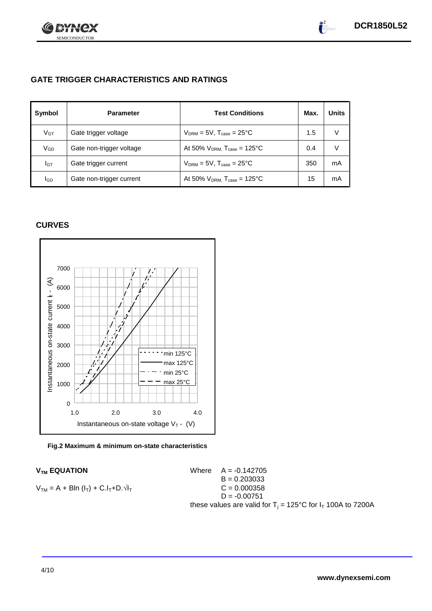

# **GATE TRIGGER CHARACTERISTICS AND RATINGS**

| Symbol          | <b>Parameter</b>         | <b>Test Conditions</b>                       | Max. | <b>Units</b> |
|-----------------|--------------------------|----------------------------------------------|------|--------------|
| V <sub>GT</sub> | Gate trigger voltage     | $V_{DRM} = 5V$ , $T_{case} = 25^{\circ}C$    | 1.5  | V            |
| VGD             | Gate non-trigger voltage | At 50% $V_{DRM}$ , $T_{case} = 125^{\circ}C$ | 0.4  | V            |
| IGТ             | Gate trigger current     | $V_{DRM}$ = 5V, $T_{case}$ = 25°C            | 350  | mA           |
| lgd             | Gate non-trigger current | At 50% $V_{DRM}$ , $T_{case} = 125$ °C       | 15   | mA           |

# **CURVES**



## **Fig.2 Maximum & minimum on-state characteristics**

 $V_{TM}$  **EQUATION** Where  $A = -0.142705$  $B = 0.203033$  $V_{TM} = A + B\ln(I_T) + C.I_T + D.\sqrt{I_T}$  C = 0.000358  $D = -0.00751$ these values are valid for  $T_i = 125^{\circ}C$  for  $I_T$  100A to 7200A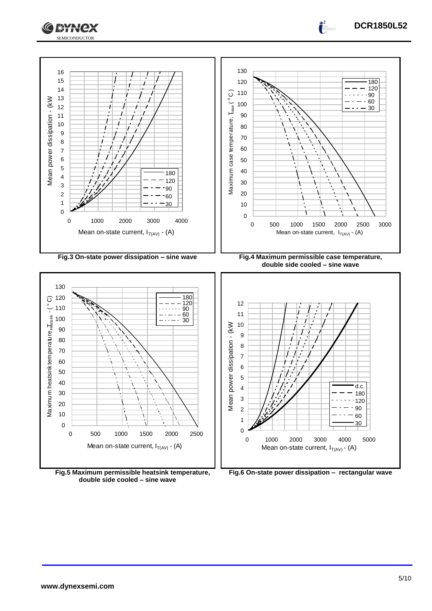



**Fig.5 Maximum permissible heatsink temperature, double side cooled – sine wave**

**Fig.6 On-state power dissipation – rectangular wave**

**DCR1850L52**

 $\int_0^2$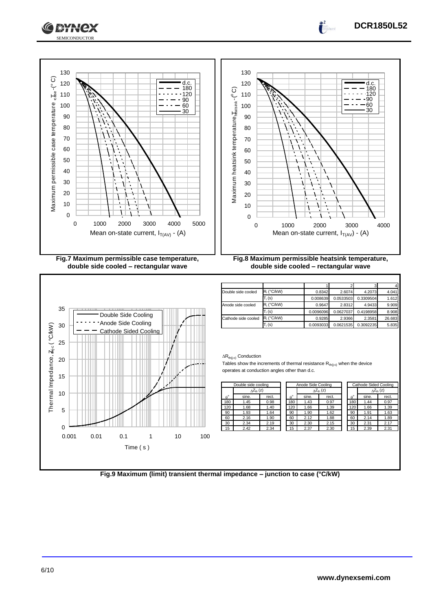

Maximum permissible case temperature  $_{\rm e, Js, e}$  -(° C)

Maximum permissible case temperature,

 $\overline{ds}_{e}$ -(°C)





| Double side cooled  | $R_i$ (°C/kW)                                         | 0.8342    | 2.6074    | 4.2073    | 4.041  |
|---------------------|-------------------------------------------------------|-----------|-----------|-----------|--------|
|                     | $\mathsf{\Gamma}_{\mathsf{i}}\left(\mathsf{s}\right)$ | 0.008639  | 0.0533503 | 0.3309504 | 1.612  |
| Anode side cooled   | $R_i$ (°C/kW)                                         | 0.9647    | 2.8312    | 4.9433    | 9.909  |
|                     | $T_i$ (s)                                             | 0.0096096 | 0.0627037 | 0.4198958 | 8.908  |
| Cathode side cooled | $R_i$ (°C/kW)                                         | 0.9285    | 2.9366    | 2.3581    | 26.683 |
|                     | $T_i$ (s)                                             | 0.0093033 | 0.0621535 | 0.3092235 | 5.835  |

## $\Delta R_{th(j-c)}$  Conduction

Tables show the increments of thermal resistance  $R_{th(j-c)}$  when the device operates at conduction angles other than d.c.

|  | Double side cooling |                           |       | Anode Side Cooling |                  |       |                           |             |       | Cathode Sided Coolino |  |
|--|---------------------|---------------------------|-------|--------------------|------------------|-------|---------------------------|-------------|-------|-----------------------|--|
|  |                     | $\wedge Z_{\text{th}}(z)$ |       |                    |                  |       | $\wedge Z_{\text{th}}(z)$ |             |       | $\Lambda Z_{th}$ (z)  |  |
|  | $\rho^{\circ}$      | sine.                     | rect. |                    | $\theta^{\circ}$ | sine. | rect.                     | $A^{\circ}$ | sine. | rect.                 |  |
|  | 180                 | 1.45                      | 0.98  |                    | 180              | 1.43  | 0.97                      | 180         | 1.44  | 0.97                  |  |
|  | 120                 | 1.68                      | 1.40  |                    | 120              | 1.66  | 1.39                      | 120         | 1.66  | 1.39                  |  |
|  | 90                  | 1.93                      | 1.64  |                    | 90               | 1.90  | 1.62                      | 90          | 1.91  | 1.63                  |  |
|  | 60                  | 2.16                      | 1.90  |                    | 60               | 2.12  | 1.88                      | 60          | 2.14  | 1.89                  |  |
|  | 30                  | 2.34                      | 2.19  |                    | 30               | 2.30  | 2.15                      | 30          | 2.31  | 2.17                  |  |
|  | 15                  | 2.42                      | 2.34  |                    | 15               | 2.37  | 2.30                      | 15          | 2.39  | 2.31                  |  |

| <b>Cathode Sided Cooling</b> |                           |       |  |  |  |  |
|------------------------------|---------------------------|-------|--|--|--|--|
|                              | $\Delta Z_{\text{th}}(z)$ |       |  |  |  |  |
| $\uptheta^\circ$             | sine.                     | rect. |  |  |  |  |
| 180                          | 1.44                      | 0.97  |  |  |  |  |
| 120                          | 1.66                      | 1.39  |  |  |  |  |
| 90                           | 1.91                      | 1.63  |  |  |  |  |
| 60                           | 2.14                      | 1.89  |  |  |  |  |
| 30                           | 2.31                      | 2.17  |  |  |  |  |
| 15                           | 2.39                      | 2.31  |  |  |  |  |

**Fig.9 Maximum (limit) transient thermal impedance – junction to case (°C/kW)**



 $\int_0^2$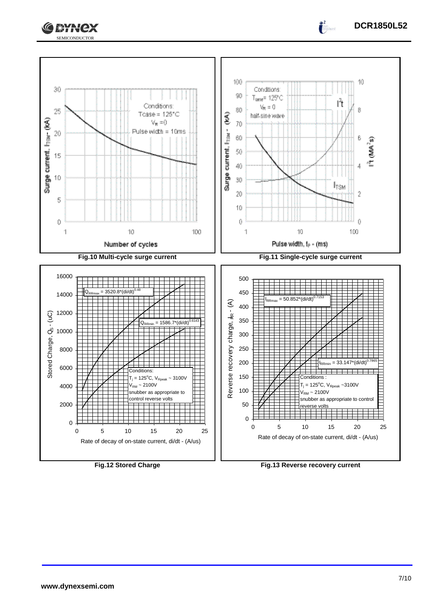



 $\int_0^2$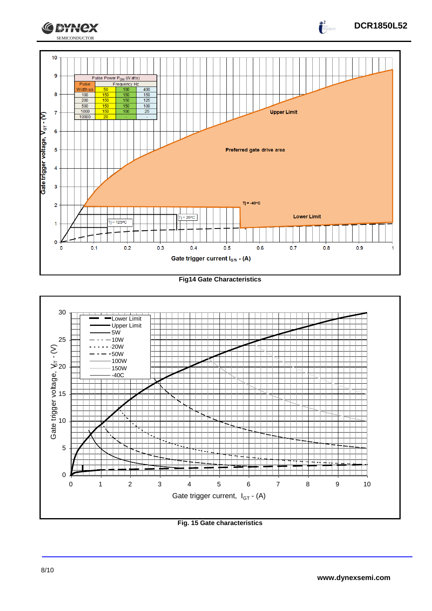

**Fig14 Gate Characteristics**



**Fig. 15 Gate characteristics**

**DCR1850L52**

 $\int_{0}^{2}$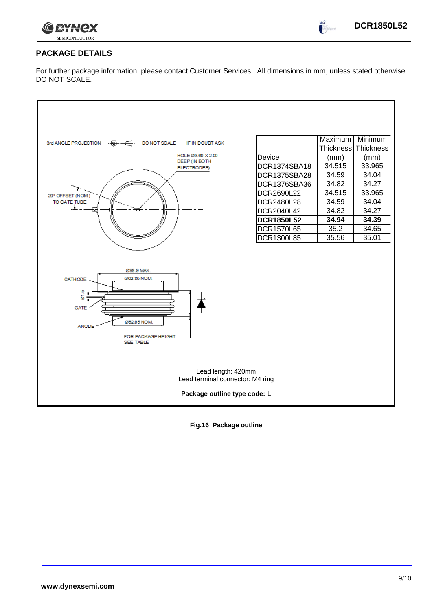

 $\int_0^2$ 

# **PACKAGE DETAILS**

For further package information, please contact Customer Services. All dimensions in mm, unless stated otherwise. DO NOT SCALE.



**Fig.16 Package outline**